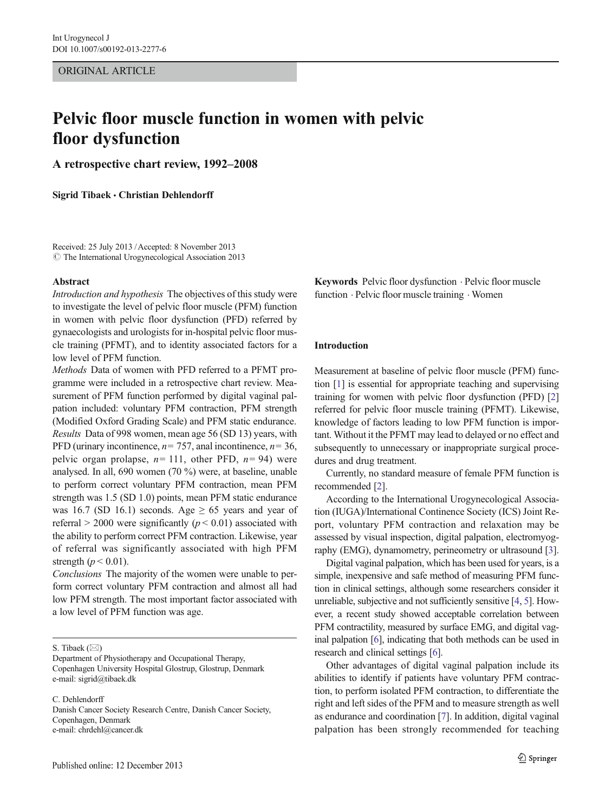ORIGINAL ARTICLE

# Pelvic floor muscle function in women with pelvic floor dysfunction

A retrospective chart review, 1992–2008

Sigrid Tibaek • Christian Dehlendorff

Received: 25 July 2013 /Accepted: 8 November 2013  $\odot$  The International Urogynecological Association 2013

#### Abstract

Introduction and hypothesis The objectives of this study were to investigate the level of pelvic floor muscle (PFM) function in women with pelvic floor dysfunction (PFD) referred by gynaecologists and urologists for in-hospital pelvic floor muscle training (PFMT), and to identity associated factors for a low level of PFM function.

Methods Data of women with PFD referred to a PFMT programme were included in a retrospective chart review. Measurement of PFM function performed by digital vaginal palpation included: voluntary PFM contraction, PFM strength (Modified Oxford Grading Scale) and PFM static endurance. Results Data of 998 women, mean age 56 (SD 13) years, with PFD (urinary incontinence,  $n= 757$ , anal incontinence,  $n= 36$ , pelvic organ prolapse,  $n=111$ , other PFD,  $n=94$ ) were analysed. In all, 690 women (70 %) were, at baseline, unable to perform correct voluntary PFM contraction, mean PFM strength was 1.5 (SD 1.0) points, mean PFM static endurance was 16.7 (SD 16.1) seconds. Age  $\geq$  65 years and year of referral > 2000 were significantly ( $p$  < 0.01) associated with the ability to perform correct PFM contraction. Likewise, year of referral was significantly associated with high PFM strength ( $p < 0.01$ ).

Conclusions The majority of the women were unable to perform correct voluntary PFM contraction and almost all had low PFM strength. The most important factor associated with a low level of PFM function was age.

S. Tibaek  $(\boxtimes)$ 

C. Dehlendorff

Danish Cancer Society Research Centre, Danish Cancer Society, Copenhagen, Denmark e-mail: chrdehl@cancer.dk

Published online: 12 December 2013

Keywords Pelvic floor dysfunction . Pelvic floor muscle function . Pelvic floor muscle training . Women

#### Introduction

Measurement at baseline of pelvic floor muscle (PFM) function [[1](#page-6-0)] is essential for appropriate teaching and supervising training for women with pelvic floor dysfunction (PFD) [\[2](#page-6-0)] referred for pelvic floor muscle training (PFMT). Likewise, knowledge of factors leading to low PFM function is important. Without it the PFMT may lead to delayed or no effect and subsequently to unnecessary or inappropriate surgical procedures and drug treatment.

Currently, no standard measure of female PFM function is recommended [\[2\]](#page-6-0).

According to the International Urogynecological Association (IUGA)/International Continence Society (ICS) Joint Report, voluntary PFM contraction and relaxation may be assessed by visual inspection, digital palpation, electromyography (EMG), dynamometry, perineometry or ultrasound [[3\]](#page-6-0).

Digital vaginal palpation, which has been used for years, is a simple, inexpensive and safe method of measuring PFM function in clinical settings, although some researchers consider it unreliable, subjective and not sufficiently sensitive [\[4,](#page-6-0) [5\]](#page-6-0). However, a recent study showed acceptable correlation between PFM contractility, measured by surface EMG, and digital vaginal palpation [\[6\]](#page-6-0), indicating that both methods can be used in research and clinical settings [\[6\]](#page-6-0).

Other advantages of digital vaginal palpation include its abilities to identify if patients have voluntary PFM contraction, to perform isolated PFM contraction, to differentiate the right and left sides of the PFM and to measure strength as well as endurance and coordination [\[7](#page-6-0)]. In addition, digital vaginal palpation has been strongly recommended for teaching

Department of Physiotherapy and Occupational Therapy, Copenhagen University Hospital Glostrup, Glostrup, Denmark e-mail: sigrid@tibaek.dk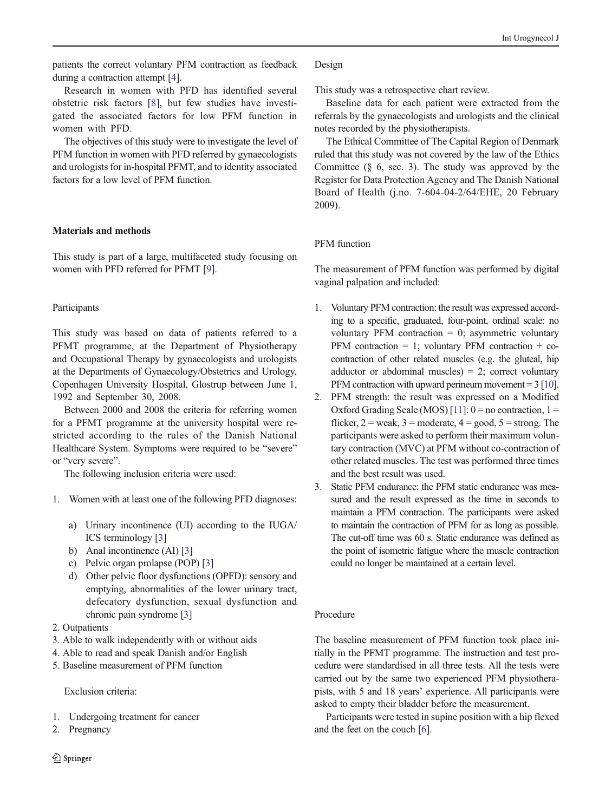patients the correct voluntary PFM contraction as feedback during a contraction attempt [[4](#page-6-0)].

Research in women with PFD has identified several obstetric risk factors [[8](#page-6-0)], but few studies have investigated the associated factors for low PFM function in women with PFD.

The objectives of this study were to investigate the level of PFM function in women with PFD referred by gynaecologists and urologists for in-hospital PFMT, and to identity associated factors for a low level of PFM function.

# Materials and methods

This study is part of a large, multifaceted study focusing on women with PFD referred for PFMT [\[9\]](#page-6-0).

# Participants

This study was based on data of patients referred to a PFMT programme, at the Department of Physiotherapy and Occupational Therapy by gynaecologists and urologists at the Departments of Gynaecology/Obstetrics and Urology, Copenhagen University Hospital, Glostrup between June 1, 1992 and September 30, 2008.

Between 2000 and 2008 the criteria for referring women for a PFMT programme at the university hospital were restricted according to the rules of the Danish National Healthcare System. Symptoms were required to be "severe" or "very severe".

The following inclusion criteria were used:

- 1. Women with at least one of the following PFD diagnoses:
	- a) Urinary incontinence (UI) according to the IUGA/ ICS terminology [\[3\]](#page-6-0)
	- b) Anal incontinence (AI) [[3](#page-6-0)]
	- c) Pelvic organ prolapse (POP) [[3\]](#page-6-0)
	- d) Other pelvic floor dysfunctions (OPFD): sensory and emptying, abnormalities of the lower urinary tract, defecatory dysfunction, sexual dysfunction and chronic pain syndrome [[3\]](#page-6-0)
- 2. Outpatients
- 3. Able to walk independently with or without aids
- 4. Able to read and speak Danish and/or English
- 5. Baseline measurement of PFM function

## Exclusion criteria:

- 1. Undergoing treatment for cancer
- 2. Pregnancy

## Design

This study was a retrospective chart review.

Baseline data for each patient were extracted from the referrals by the gynaecologists and urologists and the clinical notes recorded by the physiotherapists.

The Ethical Committee of The Capital Region of Denmark ruled that this study was not covered by the law of the Ethics Committee  $(\S$  6, sec. 3). The study was approved by the Register for Data Protection Agency and The Danish National Board of Health (j.no. 7-604-04-2/64/EHE, 20 February 2009).

# PFM function

The measurement of PFM function was performed by digital vaginal palpation and included:

- 1. Voluntary PFM contraction: the result was expressed according to a specific, graduated, four-point, ordinal scale: no voluntary PFM contraction  $= 0$ ; asymmetric voluntary PFM contraction = 1; voluntary PFM contraction + cocontraction of other related muscles (e.g. the gluteal, hip adductor or abdominal muscles) =  $2$ ; correct voluntary PFM contraction with upward perineum movement  $= 3$  [\[10\]](#page-6-0).
- 2. PFM strength: the result was expressed on a Modified Oxford Grading Scale (MOS) [\[11\]](#page-6-0):  $0 =$  no contraction,  $1 =$ flicker,  $2 =$  weak,  $3 =$  moderate,  $4 =$  good,  $5 =$  strong. The participants were asked to perform their maximum voluntary contraction (MVC) at PFM without co-contraction of other related muscles. The test was performed three times and the best result was used.
- 3. Static PFM endurance: the PFM static endurance was measured and the result expressed as the time in seconds to maintain a PFM contraction. The participants were asked to maintain the contraction of PFM for as long as possible. The cut-off time was 60 s. Static endurance was defined as the point of isometric fatigue where the muscle contraction could no longer be maintained at a certain level.

# Procedure

The baseline measurement of PFM function took place initially in the PFMT programme. The instruction and test procedure were standardised in all three tests. All the tests were carried out by the same two experienced PFM physiotherapists, with 5 and 18 years' experience. All participants were asked to empty their bladder before the measurement.

Participants were tested in supine position with a hip flexed and the feet on the couch [\[6](#page-6-0)].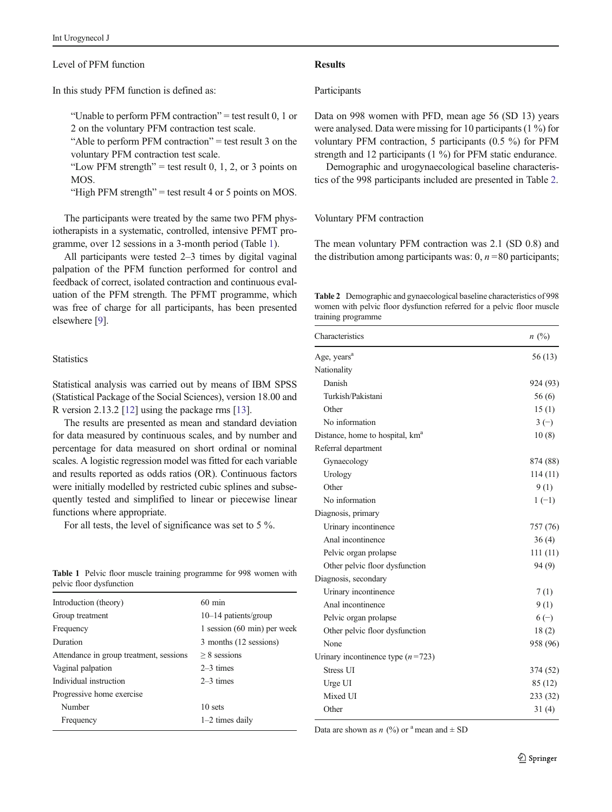#### Level of PFM function

In this study PFM function is defined as:

"Unable to perform PFM contraction" = test result  $0, 1$  or

2 on the voluntary PFM contraction test scale.

"Able to perform PFM contraction" = test result 3 on the voluntary PFM contraction test scale.

"Low PFM strength" = test result 0, 1, 2, or 3 points on MOS.

"High PFM strength" = test result 4 or 5 points on MOS.

The participants were treated by the same two PFM physiotherapists in a systematic, controlled, intensive PFMT programme, over 12 sessions in a 3-month period (Table 1).

All participants were tested 2–3 times by digital vaginal palpation of the PFM function performed for control and feedback of correct, isolated contraction and continuous evaluation of the PFM strength. The PFMT programme, which was free of charge for all participants, has been presented elsewhere [\[9](#page-6-0)].

## **Statistics**

Statistical analysis was carried out by means of IBM SPSS (Statistical Package of the Social Sciences), version 18.00 and R version 2.13.2 [[12](#page-6-0)] using the package rms [\[13\]](#page-6-0).

The results are presented as mean and standard deviation for data measured by continuous scales, and by number and percentage for data measured on short ordinal or nominal scales. A logistic regression model was fitted for each variable and results reported as odds ratios (OR). Continuous factors were initially modelled by restricted cubic splines and subsequently tested and simplified to linear or piecewise linear functions where appropriate.

For all tests, the level of significance was set to 5 %.

|  |                          |  | <b>Table 1</b> Pelvic floor muscle training programme for 998 women with |  |  |
|--|--------------------------|--|--------------------------------------------------------------------------|--|--|
|  | pelvic floor dysfunction |  |                                                                          |  |  |

| Introduction (theory)                   | $60 \text{ min}$            |
|-----------------------------------------|-----------------------------|
| Group treatment                         | $10-14$ patients/group      |
| Frequency                               | 1 session (60 min) per week |
| Duration                                | 3 months (12 sessions)      |
| Attendance in group treatment, sessions | $> 8$ sessions              |
| Vaginal palpation                       | $2-3$ times                 |
| Individual instruction                  | $2-3$ times                 |
| Progressive home exercise               |                             |
| Number                                  | 10 sets                     |
| Frequency                               | $1-2$ times daily           |
|                                         |                             |

#### Results

#### Participants

Data on 998 women with PFD, mean age 56 (SD 13) years were analysed. Data were missing for 10 participants (1 %) for voluntary PFM contraction, 5 participants (0.5 %) for PFM strength and 12 participants (1 %) for PFM static endurance.

Demographic and urogynaecological baseline characteristics of the 998 participants included are presented in Table 2.

#### Voluntary PFM contraction

The mean voluntary PFM contraction was 2.1 (SD 0.8) and the distribution among participants was:  $0, n = 80$  participants;

Table 2 Demographic and gynaecological baseline characteristics of 998 women with pelvic floor dysfunction referred for a pelvic floor muscle training programme

| Characteristics                             | n(%)     |
|---------------------------------------------|----------|
| Age, years <sup>a</sup>                     | 56 (13)  |
| Nationality                                 |          |
| Danish                                      | 924 (93) |
| Turkish/Pakistani                           | 56 (6)   |
| Other                                       | 15(1)    |
| No information                              | $3(-)$   |
| Distance, home to hospital, km <sup>a</sup> | 10(8)    |
| Referral department                         |          |
| Gynaecology                                 | 874 (88) |
| Urology                                     | 114(11)  |
| Other                                       | 9(1)     |
| No information                              | $1(-1)$  |
| Diagnosis, primary                          |          |
| Urinary incontinence                        | 757 (76) |
| Anal incontinence                           | 36(4)    |
| Pelvic organ prolapse                       | 111(11)  |
| Other pelvic floor dysfunction              | 94 (9)   |
| Diagnosis, secondary                        |          |
| Urinary incontinence                        | 7(1)     |
| Anal incontinence                           | 9(1)     |
| Pelvic organ prolapse                       | $6(-)$   |
| Other pelvic floor dysfunction              | 18(2)    |
| None                                        | 958 (96) |
| Urinary incontinence type $(n=723)$         |          |
| Stress UI                                   | 374 (52) |
| Urge UI                                     | 85 (12)  |
| Mixed UI                                    | 233 (32) |
| Other                                       | 31(4)    |

Data are shown as  $n$  (%) or <sup>a</sup> mean and  $\pm$  SD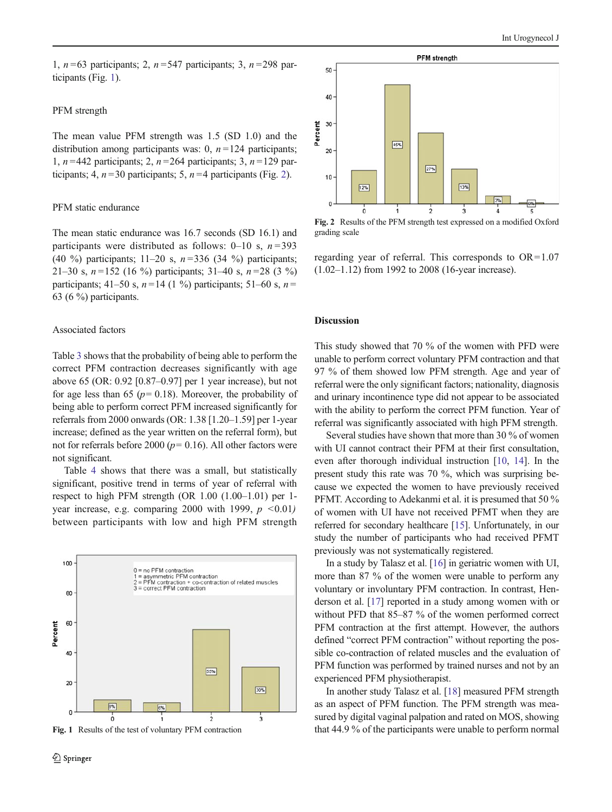1,  $n = 63$  participants; 2,  $n = 547$  participants; 3,  $n = 298$  participants (Fig. 1).

## PFM strength

The mean value PFM strength was 1.5 (SD 1.0) and the distribution among participants was: 0,  $n = 124$  participants; 1,  $n = 442$  participants; 2,  $n = 264$  participants; 3,  $n = 129$  participants; 4,  $n = 30$  participants; 5,  $n = 4$  participants (Fig. 2).

#### PFM static endurance

The mean static endurance was 16.7 seconds (SD 16.1) and participants were distributed as follows: 0–10 s,  $n = 393$ (40 %) participants;  $11-20$  s,  $n = 336$  (34 %) participants; 21–30 s,  $n = 152$  (16 %) participants; 31–40 s,  $n = 28$  (3 %) participants; 41–50 s,  $n = 14$  (1 %) participants; 51–60 s,  $n =$ 63 (6 %) participants.

#### Associated factors

Table [3](#page-4-0) shows that the probability of being able to perform the correct PFM contraction decreases significantly with age above 65 (OR: 0.92 [0.87–0.97] per 1 year increase), but not for age less than 65 ( $p= 0.18$ ). Moreover, the probability of being able to perform correct PFM increased significantly for referrals from 2000 onwards (OR: 1.38 [1.20–1.59] per 1-year increase; defined as the year written on the referral form), but not for referrals before 2000 ( $p= 0.16$ ). All other factors were not significant.

Table [4](#page-5-0) shows that there was a small, but statistically significant, positive trend in terms of year of referral with respect to high PFM strength (OR 1.00 (1.00–1.01) per 1 year increase, e.g. comparing 2000 with 1999,  $p \leq 0.01$ ) between participants with low and high PFM strength







Fig. 2 Results of the PFM strength test expressed on a modified Oxford grading scale

regarding year of referral. This corresponds to  $OR=1.07$ (1.02–1.12) from 1992 to 2008 (16-year increase).

#### Discussion

This study showed that 70 % of the women with PFD were unable to perform correct voluntary PFM contraction and that 97 % of them showed low PFM strength. Age and year of referral were the only significant factors; nationality, diagnosis and urinary incontinence type did not appear to be associated with the ability to perform the correct PFM function. Year of referral was significantly associated with high PFM strength.

Several studies have shown that more than 30 % of women with UI cannot contract their PFM at their first consultation, even after thorough individual instruction [[10](#page-6-0), [14](#page-6-0)]. In the present study this rate was 70 %, which was surprising because we expected the women to have previously received PFMT. According to Adekanmi et al. it is presumed that 50 % of women with UI have not received PFMT when they are referred for secondary healthcare [[15](#page-6-0)]. Unfortunately, in our study the number of participants who had received PFMT previously was not systematically registered.

In a study by Talasz et al. [\[16](#page-6-0)] in geriatric women with UI, more than 87 % of the women were unable to perform any voluntary or involuntary PFM contraction. In contrast, Henderson et al. [[17](#page-6-0)] reported in a study among women with or without PFD that 85–87 % of the women performed correct PFM contraction at the first attempt. However, the authors defined "correct PFM contraction" without reporting the possible co-contraction of related muscles and the evaluation of PFM function was performed by trained nurses and not by an experienced PFM physiotherapist.

In another study Talasz et al. [\[18](#page-6-0)] measured PFM strength as an aspect of PFM function. The PFM strength was measured by digital vaginal palpation and rated on MOS, showing Fig. 1 Results of the test of voluntary PFM contraction that 44.9 % of the participants were unable to perform normal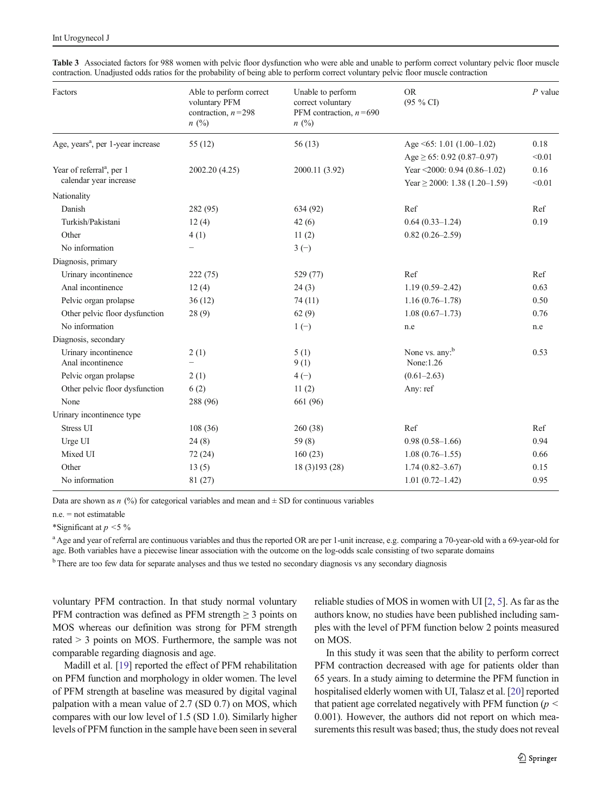| Factors                                                         | Able to perform correct<br>voluntary PFM<br>contraction, $n = 298$<br>$n \ (\%)$ | Unable to perform<br>correct voluntary<br>PFM contraction, $n = 690$<br>$n \ (\%)$ | <b>OR</b><br>$(95\%$ CI)                                           | $P$ value      |
|-----------------------------------------------------------------|----------------------------------------------------------------------------------|------------------------------------------------------------------------------------|--------------------------------------------------------------------|----------------|
| Age, years <sup>a</sup> , per 1-year increase                   | 55(12)                                                                           | 56(13)                                                                             | Age $\leq 65$ : 1.01 (1.00-1.02)                                   | 0.18           |
|                                                                 |                                                                                  |                                                                                    | Age $\geq 65$ : 0.92 (0.87–0.97)                                   | < 0.01         |
| Year of referral <sup>a</sup> , per 1<br>calendar year increase | 2002.20 (4.25)                                                                   | 2000.11 (3.92)                                                                     | Year <2000: 0.94 (0.86-1.02)<br>Year $\geq$ 2000: 1.38 (1.20–1.59) | 0.16<br>< 0.01 |
| Nationality                                                     |                                                                                  |                                                                                    |                                                                    |                |
| Danish                                                          | 282 (95)                                                                         | 634 (92)                                                                           | Ref                                                                | Ref            |
| Turkish/Pakistani                                               | 12(4)                                                                            | 42(6)                                                                              | $0.64(0.33-1.24)$                                                  | 0.19           |
| Other                                                           | 4(1)                                                                             | 11(2)                                                                              | $0.82(0.26 - 2.59)$                                                |                |
| No information                                                  | $\overline{\phantom{0}}$                                                         | $3(-)$                                                                             |                                                                    |                |
| Diagnosis, primary                                              |                                                                                  |                                                                                    |                                                                    |                |
| Urinary incontinence                                            | 222(75)                                                                          | 529 (77)                                                                           | Ref                                                                | Ref            |
| Anal incontinence                                               | 12(4)                                                                            | 24(3)                                                                              | $1.19(0.59 - 2.42)$                                                | 0.63           |
| Pelvic organ prolapse                                           | 36(12)                                                                           | 74(11)                                                                             | $1.16(0.76-1.78)$                                                  | 0.50           |
| Other pelvic floor dysfunction                                  | 28(9)                                                                            | 62(9)                                                                              | $1.08(0.67-1.73)$                                                  | 0.76           |
| No information                                                  |                                                                                  | $1(-)$                                                                             | n.e                                                                | n.e            |
| Diagnosis, secondary                                            |                                                                                  |                                                                                    |                                                                    |                |
| Urinary incontinence<br>Anal incontinence                       | 2(1)<br>$\overline{\phantom{0}}$                                                 | 5(1)<br>9(1)                                                                       | None vs. any: <sup>b</sup><br>None: 1.26                           | 0.53           |
| Pelvic organ prolapse                                           | 2(1)                                                                             | $4(-)$                                                                             | $(0.61 - 2.63)$                                                    |                |
| Other pelvic floor dysfunction                                  | 6(2)                                                                             | 11(2)                                                                              | Any: ref                                                           |                |
| None                                                            | 288 (96)                                                                         | 661 (96)                                                                           |                                                                    |                |
| Urinary incontinence type                                       |                                                                                  |                                                                                    |                                                                    |                |
| Stress UI                                                       | 108(36)                                                                          | 260(38)                                                                            | Ref                                                                | Ref            |
| Urge UI                                                         | 24(8)                                                                            | 59(8)                                                                              | $0.98(0.58-1.66)$                                                  | 0.94           |
| Mixed UI                                                        | 72(24)                                                                           | 160(23)                                                                            | $1.08(0.76 - 1.55)$                                                | 0.66           |
| Other                                                           | 13(5)                                                                            | 18 (3) 193 (28)                                                                    | $1.74(0.82 - 3.67)$                                                | 0.15           |
| No information                                                  | 81 (27)                                                                          |                                                                                    | $1.01(0.72 - 1.42)$                                                | 0.95           |

<span id="page-4-0"></span>Table 3 Associated factors for 988 women with pelvic floor dysfunction who were able and unable to perform correct voluntary pelvic floor muscle contraction. Unadjusted odds ratios for the probability of being able to perform correct voluntary pelvic floor muscle contraction

Data are shown as n  $\left(\frac{9}{0}\right)$  for categorical variables and mean and  $\pm$  SD for continuous variables

n.e. = not estimatable

\*Significant at  $p < 5\%$ 

<sup>a</sup> Age and year of referral are continuous variables and thus the reported OR are per 1-unit increase, e.g. comparing a 70-year-old with a 69-year-old for age. Both variables have a piecewise linear association with the outcome on the log-odds scale consisting of two separate domains

<sup>b</sup> There are too few data for separate analyses and thus we tested no secondary diagnosis vs any secondary diagnosis

voluntary PFM contraction. In that study normal voluntary PFM contraction was defined as PFM strength  $\geq$  3 points on MOS whereas our definition was strong for PFM strength rated > 3 points on MOS. Furthermore, the sample was not comparable regarding diagnosis and age.

Madill et al. [[19](#page-6-0)] reported the effect of PFM rehabilitation on PFM function and morphology in older women. The level of PFM strength at baseline was measured by digital vaginal palpation with a mean value of 2.7 (SD 0.7) on MOS, which compares with our low level of 1.5 (SD 1.0). Similarly higher levels of PFM function in the sample have been seen in several reliable studies of MOS in women with UI [[2,](#page-6-0) [5\]](#page-6-0). As far as the authors know, no studies have been published including samples with the level of PFM function below 2 points measured on MOS.

In this study it was seen that the ability to perform correct PFM contraction decreased with age for patients older than 65 years. In a study aiming to determine the PFM function in hospitalised elderly women with UI, Talasz et al. [\[20\]](#page-6-0) reported that patient age correlated negatively with PFM function ( $p <$ 0.001). However, the authors did not report on which measurements this result was based; thus, the study does not reveal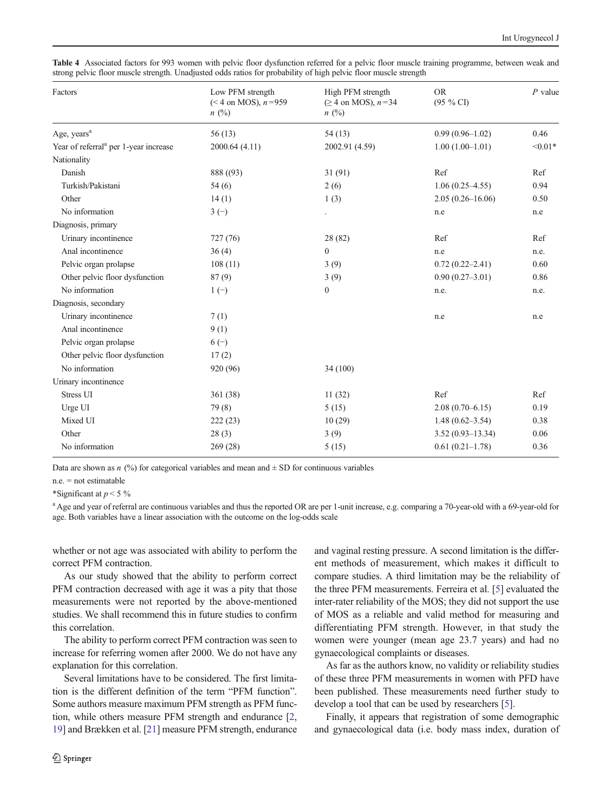<span id="page-5-0"></span>

| Table 4 Associated factors for 993 women with pelvic floor dysfunction referred for a pelvic floor muscle training programme, between weak and |  |  |  |  |
|------------------------------------------------------------------------------------------------------------------------------------------------|--|--|--|--|
| strong pelvic floor muscle strength. Unadjusted odds ratios for probability of high pelvic floor muscle strength                               |  |  |  |  |

| Factors                                           | Low PFM strength<br>$(< 4$ on MOS), $n = 959$<br>n(%) | High PFM strength<br>$(≥ 4$ on MOS), $n=34$<br>n(%) | <b>OR</b><br>$(95 \% CI)$ | $P$ value |  |
|---------------------------------------------------|-------------------------------------------------------|-----------------------------------------------------|---------------------------|-----------|--|
| Age, years <sup>a</sup>                           | 56(13)                                                | 54(13)                                              | $0.99(0.96-1.02)$         | 0.46      |  |
| Year of referral <sup>a</sup> per 1-year increase | 2000.64 (4.11)                                        | 2002.91 (4.59)                                      | $1.00(1.00-1.01)$         | $< 0.01*$ |  |
| Nationality                                       |                                                       |                                                     |                           |           |  |
| Danish                                            | 888 ((93)                                             | 31(91)                                              | Ref                       | Ref       |  |
| Turkish/Pakistani                                 | 54(6)                                                 | 2(6)                                                | $1.06(0.25-4.55)$         | 0.94      |  |
| Other                                             | 14(1)                                                 | 1(3)                                                | $2.05(0.26 - 16.06)$      | 0.50      |  |
| No information                                    | $3(-)$                                                |                                                     | n.e                       | n.e       |  |
| Diagnosis, primary                                |                                                       |                                                     |                           |           |  |
| Urinary incontinence                              | 727 (76)                                              | 28 (82)                                             | Ref                       | Ref       |  |
| Anal incontinence                                 | 36(4)                                                 | $\mathbf{0}$                                        | n.e                       | n.e.      |  |
| Pelvic organ prolapse                             | 108(11)                                               | 3(9)                                                | $0.72(0.22 - 2.41)$       | 0.60      |  |
| Other pelvic floor dysfunction                    | 87(9)                                                 | 3(9)                                                | $0.90(0.27 - 3.01)$       | 0.86      |  |
| No information                                    | $1(-)$                                                | $\mathbf{0}$                                        | n.e.                      | n.e.      |  |
| Diagnosis, secondary                              |                                                       |                                                     |                           |           |  |
| Urinary incontinence                              | 7(1)                                                  |                                                     | n.e                       | n.e       |  |
| Anal incontinence                                 | 9(1)                                                  |                                                     |                           |           |  |
| Pelvic organ prolapse                             | $6(-)$                                                |                                                     |                           |           |  |
| Other pelvic floor dysfunction                    | 17(2)                                                 |                                                     |                           |           |  |
| No information                                    | 920 (96)                                              | 34 (100)                                            |                           |           |  |
| Urinary incontinence                              |                                                       |                                                     |                           |           |  |
| Stress UI                                         | 361 (38)                                              | 11(32)                                              | Ref                       | Ref       |  |
| Urge UI                                           | 79(8)                                                 | 5(15)                                               | $2.08(0.70-6.15)$         | 0.19      |  |
| Mixed UI                                          | 222(23)                                               | 10(29)                                              | $1.48(0.62 - 3.54)$       | 0.38      |  |
| Other                                             | 28(3)                                                 | 3(9)                                                | $3.52(0.93 - 13.34)$      | 0.06      |  |
| No information                                    | 269(28)                                               | 5(15)                                               | $0.61(0.21-1.78)$         | 0.36      |  |

Data are shown as n  $\left(\frac{9}{0}\right)$  for categorical variables and mean and  $\pm$  SD for continuous variables

n.e. = not estimatable

\*Significant at  $p < 5\%$ 

<sup>a</sup> Age and year of referral are continuous variables and thus the reported OR are per 1-unit increase, e.g. comparing a 70-year-old with a 69-year-old for age. Both variables have a linear association with the outcome on the log-odds scale

whether or not age was associated with ability to perform the correct PFM contraction.

As our study showed that the ability to perform correct PFM contraction decreased with age it was a pity that those measurements were not reported by the above-mentioned studies. We shall recommend this in future studies to confirm this correlation.

The ability to perform correct PFM contraction was seen to increase for referring women after 2000. We do not have any explanation for this correlation.

Several limitations have to be considered. The first limitation is the different definition of the term "PFM function". Some authors measure maximum PFM strength as PFM function, while others measure PFM strength and endurance [[2,](#page-6-0) [19\]](#page-6-0) and Brækken et al. [[21\]](#page-6-0) measure PFM strength, endurance and vaginal resting pressure. A second limitation is the different methods of measurement, which makes it difficult to compare studies. A third limitation may be the reliability of the three PFM measurements. Ferreira et al. [\[5](#page-6-0)] evaluated the inter-rater reliability of the MOS; they did not support the use of MOS as a reliable and valid method for measuring and differentiating PFM strength. However, in that study the women were younger (mean age 23.7 years) and had no gynaecological complaints or diseases.

As far as the authors know, no validity or reliability studies of these three PFM measurements in women with PFD have been published. These measurements need further study to develop a tool that can be used by researchers [\[5\]](#page-6-0).

Finally, it appears that registration of some demographic and gynaecological data (i.e. body mass index, duration of